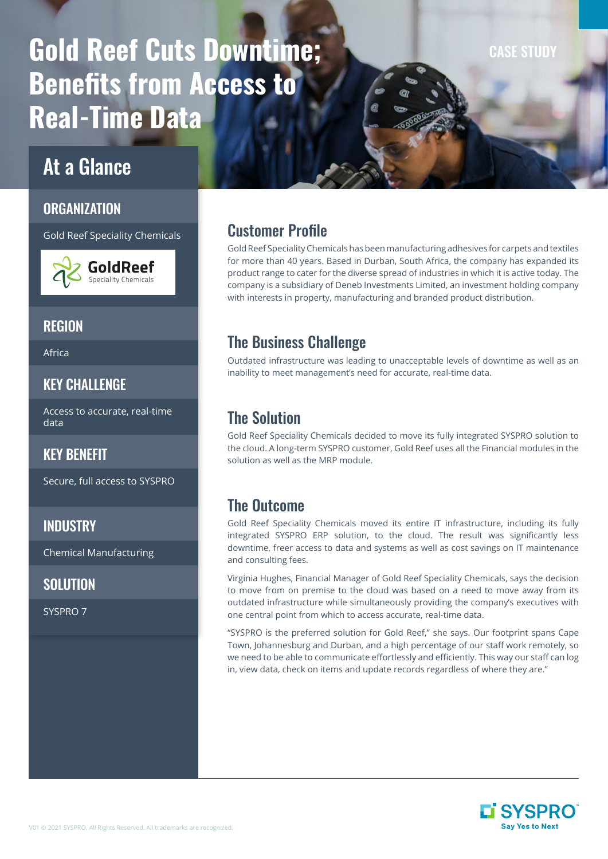# Gold Reef Cuts Downtime; Benefits from Access to Real-Time Data

## At a Glance

#### ORGANIZATION

Gold Reef Speciality Chemicals



## **REGION**

Africa

### KEY CHALLENGE

Access to accurate, real-time data

#### KEY BENEFIT

Secure, full access to SYSPRO

#### **INDUSTRY**

Chemical Manufacturing

## **SOLUTION**

SYSPRO 7

## Customer Profile

Gold Reef Speciality Chemicals has been manufacturing adhesives for carpets and textiles for more than 40 years. Based in Durban, South Africa, the company has expanded its product range to cater for the diverse spread of industries in which it is active today. The company is a subsidiary of Deneb Investments Limited, an investment holding company with interests in property, manufacturing and branded product distribution.

## The Business Challenge

Outdated infrastructure was leading to unacceptable levels of downtime as well as an inability to meet management's need for accurate, real-time data.

## The Solution

Gold Reef Speciality Chemicals decided to move its fully integrated SYSPRO solution to the cloud. A long-term SYSPRO customer, Gold Reef uses all the Financial modules in the solution as well as the MRP module.

## The Outcome

Gold Reef Speciality Chemicals moved its entire IT infrastructure, including its fully integrated SYSPRO ERP solution, to the cloud. The result was significantly less downtime, freer access to data and systems as well as cost savings on IT maintenance and consulting fees.

Virginia Hughes, Financial Manager of Gold Reef Speciality Chemicals, says the decision to move from on premise to the cloud was based on a need to move away from its outdated infrastructure while simultaneously providing the company's executives with one central point from which to access accurate, real-time data.

"SYSPRO is the preferred solution for Gold Reef," she says. Our footprint spans Cape Town, Johannesburg and Durban, and a high percentage of our staff work remotely, so we need to be able to communicate effortlessly and efficiently. This way our staff can log in, view data, check on items and update records regardless of where they are."



CASE STUDY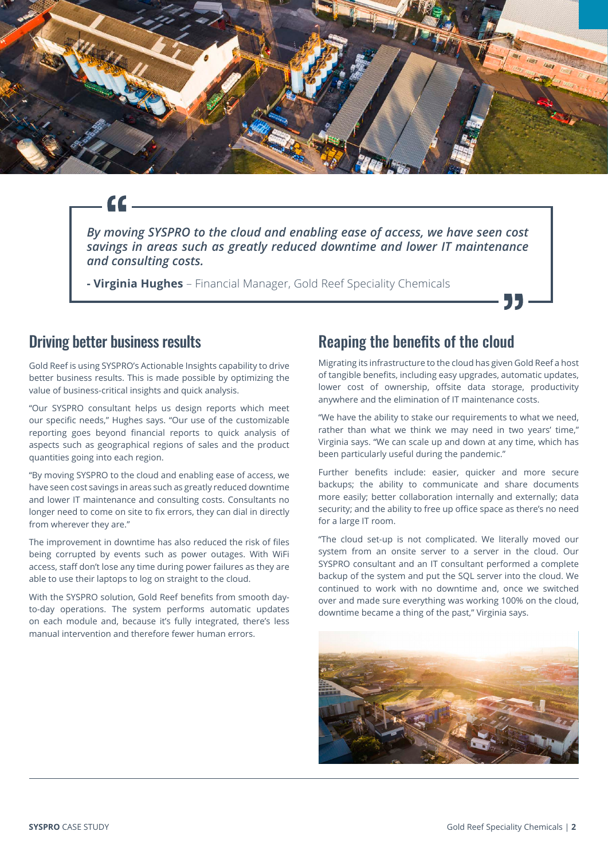

*By moving SYSPRO to the cloud and enabling ease of access, we have seen cost savings in areas such as greatly reduced downtime and lower IT maintenance and consulting costs.*

**- Virginia Hughes** – Financial Manager, Gold Reef Speciality Chemicals

#### Driving better business results

Gold Reef is using SYSPRO's Actionable Insights capability to drive better business results. This is made possible by optimizing the value of business-critical insights and quick analysis.

"Our SYSPRO consultant helps us design reports which meet our specific needs," Hughes says. "Our use of the customizable reporting goes beyond financial reports to quick analysis of aspects such as geographical regions of sales and the product quantities going into each region.

"By moving SYSPRO to the cloud and enabling ease of access, we have seen cost savings in areas such as greatly reduced downtime and lower IT maintenance and consulting costs. Consultants no longer need to come on site to fix errors, they can dial in directly from wherever they are."

The improvement in downtime has also reduced the risk of files being corrupted by events such as power outages. With WiFi access, staff don't lose any time during power failures as they are able to use their laptops to log on straight to the cloud.

With the SYSPRO solution, Gold Reef benefits from smooth dayto-day operations. The system performs automatic updates on each module and, because it's fully integrated, there's less manual intervention and therefore fewer human errors.

#### Reaping the benefits of the cloud

Migrating its infrastructure to the cloud has given Gold Reef a host of tangible benefits, including easy upgrades, automatic updates, lower cost of ownership, offsite data storage, productivity anywhere and the elimination of IT maintenance costs.

55

"We have the ability to stake our requirements to what we need, rather than what we think we may need in two years' time," Virginia says. "We can scale up and down at any time, which has been particularly useful during the pandemic."

Further benefits include: easier, quicker and more secure backups; the ability to communicate and share documents more easily; better collaboration internally and externally; data security; and the ability to free up office space as there's no need for a large IT room.

"The cloud set-up is not complicated. We literally moved our system from an onsite server to a server in the cloud. Our SYSPRO consultant and an IT consultant performed a complete backup of the system and put the SQL server into the cloud. We continued to work with no downtime and, once we switched over and made sure everything was working 100% on the cloud, downtime became a thing of the past," Virginia says.